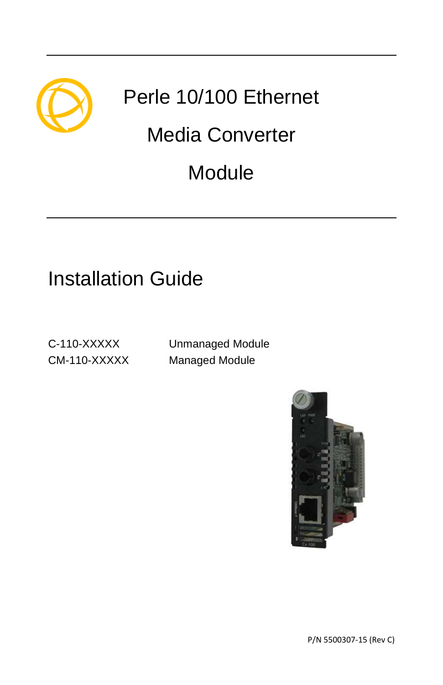

# Perle 10/100 Ethernet

# Media Converter

# **Module**

# Installation Guide

C-110-XXXXX Unmanaged Module CM-110-XXXXX Managed Module

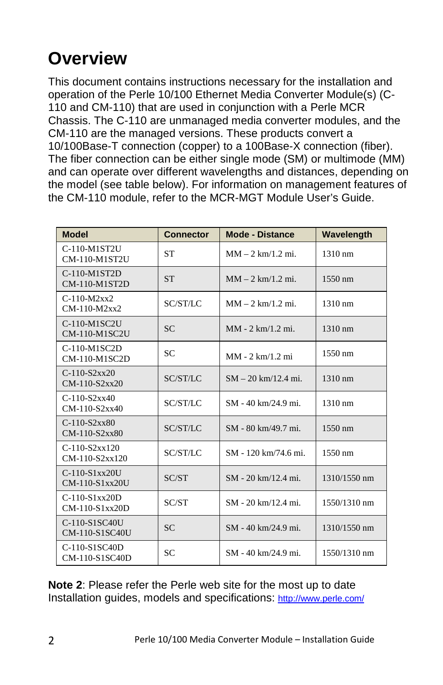## **Overview**

This document contains instructions necessary for the installation and operation of the Perle 10/100 Ethernet Media Converter Module(s) (C-110 and CM-110) that are used in conjunction with a Perle MCR Chassis. The C-110 are unmanaged media converter modules, and the CM-110 are the managed versions. These products convert a 10/100Base-T connection (copper) to a 100Base-X connection (fiber). The fiber connection can be either single mode (SM) or multimode (MM) and can operate over different wavelengths and distances, depending on the model (see table below). For information on management features of the CM-110 module, refer to the MCR-MGT Module User's Guide.

| <b>Model</b>                        | <b>Connector</b> | <b>Mode - Distance</b> | Wavelength        |
|-------------------------------------|------------------|------------------------|-------------------|
| C-110-M1ST2U<br>CM-110-M1ST2U       | <b>ST</b>        | $MM - 2 km/1.2 mi$ .   | $1310 \text{ nm}$ |
| C-110-M1ST2D<br>CM-110-M1ST2D       | <b>ST</b>        | $MM - 2 km/1.2 mi$ .   | 1550 nm           |
| $C-110-M2xx2$<br>CM-110-M2xx2       | SC/ST/LC         | $MM - 2 km/1.2 mi$ .   | $1310 \text{ nm}$ |
| C-110-M1SC2U<br>CM-110-M1SC2U       | <b>SC</b>        | MM - 2 km/1.2 mi.      | 1310 nm           |
| C-110-M1SC2D<br>CM-110-M1SC2D       | <b>SC</b>        | $MM - 2 km/1.2 mi$     | $1550 \text{ nm}$ |
| $C-110-S2xx20$<br>CM-110-S2xx20     | SC/ST/LC         | $SM - 20$ km/12.4 mi.  | 1310 nm           |
| $C-110-S2xx40$<br>$CM-110-S2xx40$   | SC/ST/LC         | SM - 40 km/24.9 mi.    | $1310 \text{ nm}$ |
| $C-110-S2xx80$<br>CM-110-S2xx80     | SC/ST/LC         | SM - 80 km/49.7 mi.    | 1550 nm           |
| $C-110-S2xx120$<br>CM-110-S2xx120   | SC/ST/LC         | SM - 120 km/74.6 mi.   | $1550 \text{ nm}$ |
| C-110-S1xx20U<br>CM-110-S1xx20U     | SC/ST            | SM - 20 km/12.4 mi.    | 1310/1550 nm      |
| $C-110-S1xx20D$<br>$CM-110-S1xx20D$ | SC/ST            | SM - 20 km/12.4 mi.    | 1550/1310 nm      |
| C-110-S1SC40U<br>CM-110-S1SC40U     | <b>SC</b>        | SM - 40 km/24.9 mi.    | 1310/1550 nm      |
| C-110-S1SC40D<br>CM-110-S1SC40D     | <b>SC</b>        | SM - 40 km/24.9 mi.    | 1550/1310 nm      |

**Note 2**: Please refer the Perle web site for the most up to date Installation guides, models and specifications: http://www.perle.com/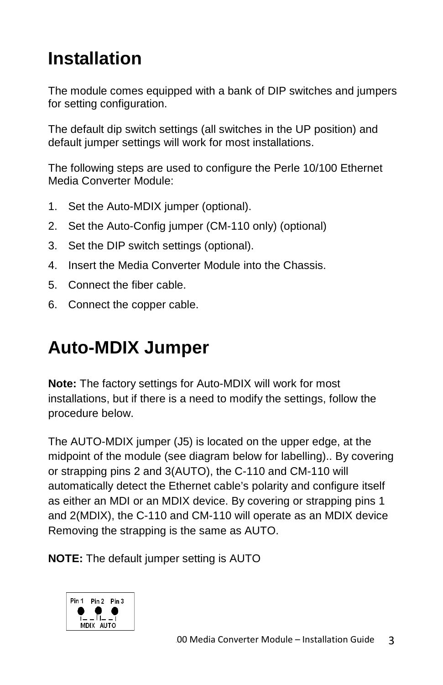## **Installation**

The module comes equipped with a bank of DIP switches and jumpers for setting configuration.

The default dip switch settings (all switches in the UP position) and default jumper settings will work for most installations.

The following steps are used to configure the Perle 10/100 Ethernet Media Converter Module:

- 1. Set the Auto-MDIX jumper (optional).
- 2. Set the Auto-Config jumper (CM-110 only) (optional)
- 3. Set the DIP switch settings (optional).
- 4. Insert the Media Converter Module into the Chassis.
- 5. Connect the fiber cable.
- 6. Connect the copper cable.

## **Auto-MDIX Jumper**

**Note:** The factory settings for Auto-MDIX will work for most installations, but if there is a need to modify the settings, follow the procedure below.

The AUTO-MDIX jumper (J5) is located on the upper edge, at the midpoint of the module (see diagram below for labelling).. By covering or strapping pins 2 and 3(AUTO), the C-110 and CM-110 will automatically detect the Ethernet cable's polarity and configure itself as either an MDI or an MDIX device. By covering or strapping pins 1 and 2(MDIX), the C-110 and CM-110 will operate as an MDIX device Removing the strapping is the same as AUTO.

**NOTE:** The default jumper setting is AUTO

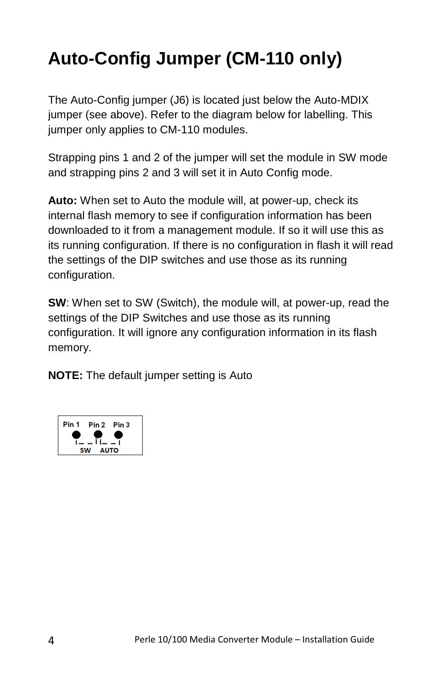# **Auto-Config Jumper (CM-110 only)**

The Auto-Config jumper (J6) is located just below the Auto-MDIX jumper (see above). Refer to the diagram below for labelling. This jumper only applies to CM-110 modules.

Strapping pins 1 and 2 of the jumper will set the module in SW mode and strapping pins 2 and 3 will set it in Auto Config mode.

**Auto:** When set to Auto the module will, at power-up, check its internal flash memory to see if configuration information has been downloaded to it from a management module. If so it will use this as its running configuration. If there is no configuration in flash it will read the settings of the DIP switches and use those as its running configuration.

**SW**: When set to SW (Switch), the module will, at power-up, read the settings of the DIP Switches and use those as its running configuration. It will ignore any configuration information in its flash memory.

**NOTE:** The default jumper setting is Auto

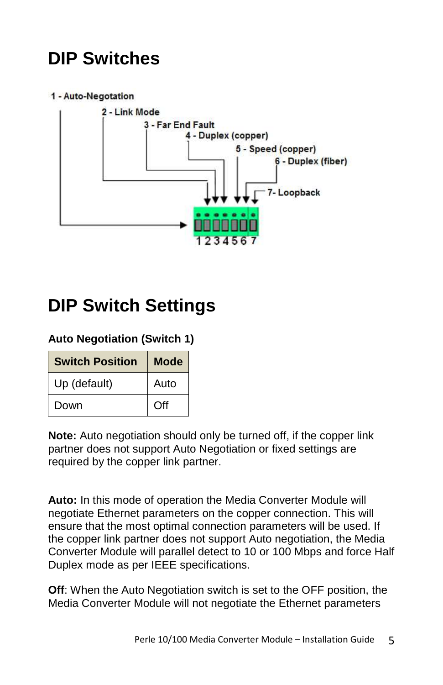## **DIP Switches**

#### 1 - Auto-Negotation



### **DIP Switch Settings**

### **Auto Negotiation (Switch 1)**

| <b>Switch Position</b> | <b>Mode</b> |
|------------------------|-------------|
| Up (default)           | Auto        |
| Down                   | Off         |

**Note:** Auto negotiation should only be turned off, if the copper link partner does not support Auto Negotiation or fixed settings are required by the copper link partner.

**Auto:** In this mode of operation the Media Converter Module will negotiate Ethernet parameters on the copper connection. This will ensure that the most optimal connection parameters will be used. If the copper link partner does not support Auto negotiation, the Media Converter Module will parallel detect to 10 or 100 Mbps and force Half Duplex mode as per IEEE specifications.

**Off**: When the Auto Negotiation switch is set to the OFF position, the Media Converter Module will not negotiate the Ethernet parameters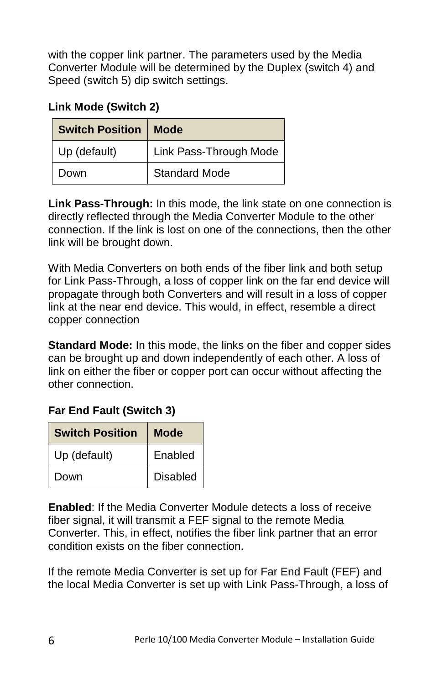with the copper link partner. The parameters used by the Media Converter Module will be determined by the Duplex (switch 4) and Speed (switch 5) dip switch settings.

### **Link Mode (Switch 2)**

| <b>Switch Position</b> | Mode                   |
|------------------------|------------------------|
| Up (default)           | Link Pass-Through Mode |
| Down                   | <b>Standard Mode</b>   |

**Link Pass-Through:** In this mode, the link state on one connection is directly reflected through the Media Converter Module to the other connection. If the link is lost on one of the connections, then the other link will be brought down.

With Media Converters on both ends of the fiber link and both setup for Link Pass-Through, a loss of copper link on the far end device will propagate through both Converters and will result in a loss of copper link at the near end device. This would, in effect, resemble a direct copper connection

**Standard Mode:** In this mode, the links on the fiber and copper sides can be brought up and down independently of each other. A loss of link on either the fiber or copper port can occur without affecting the other connection.

### **Far End Fault (Switch 3)**

| <b>Switch Position</b> | Mode     |  |
|------------------------|----------|--|
| Up (default)           | Enabled  |  |
| Down                   | Disabled |  |

**Enabled**: If the Media Converter Module detects a loss of receive fiber signal, it will transmit a FEF signal to the remote Media Converter. This, in effect, notifies the fiber link partner that an error condition exists on the fiber connection.

If the remote Media Converter is set up for Far End Fault (FEF) and the local Media Converter is set up with Link Pass-Through, a loss of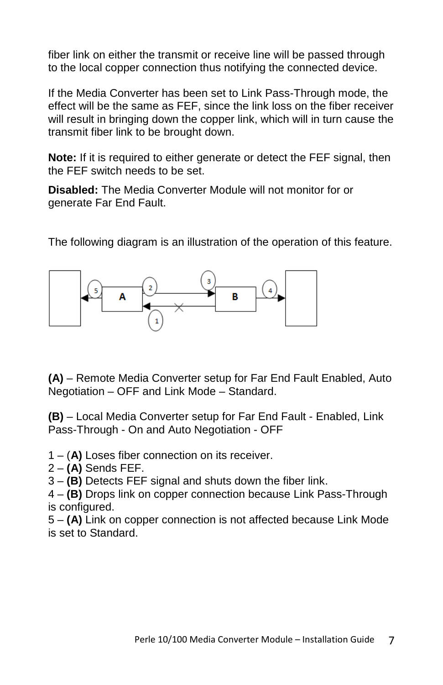fiber link on either the transmit or receive line will be passed through to the local copper connection thus notifying the connected device.

If the Media Converter has been set to Link Pass-Through mode, the effect will be the same as FEF, since the link loss on the fiber receiver will result in bringing down the copper link, which will in turn cause the transmit fiber link to be brought down.

**Note:** If it is required to either generate or detect the FEF signal, then the FEF switch needs to be set.

**Disabled:** The Media Converter Module will not monitor for or generate Far End Fault.

The following diagram is an illustration of the operation of this feature.



**(A)** – Remote Media Converter setup for Far End Fault Enabled, Auto Negotiation – OFF and Link Mode – Standard.

**(B)** – Local Media Converter setup for Far End Fault - Enabled, Link Pass-Through - On and Auto Negotiation - OFF

1 – (**A)** Loses fiber connection on its receiver.

2 – **(A)** Sends FEF.

3 – **(B)** Detects FEF signal and shuts down the fiber link.

4 – **(B)** Drops link on copper connection because Link Pass-Through is configured.

5 – **(A)** Link on copper connection is not affected because Link Mode is set to Standard.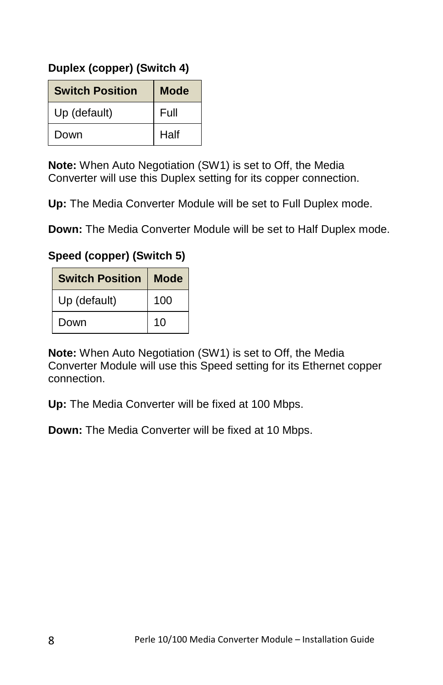### **Duplex (copper) (Switch 4)**

| <b>Switch Position</b> | <b>Mode</b> |
|------------------------|-------------|
| Up (default)           | Full        |
| Down                   | Half        |

**Note:** When Auto Negotiation (SW1) is set to Off, the Media Converter will use this Duplex setting for its copper connection.

**Up:** The Media Converter Module will be set to Full Duplex mode.

**Down:** The Media Converter Module will be set to Half Duplex mode.

### **Speed (copper) (Switch 5)**

| <b>Switch Position</b> | <b>Mode</b> |
|------------------------|-------------|
| Up (default)           | 100         |
| Down                   | 10          |

**Note:** When Auto Negotiation (SW1) is set to Off, the Media Converter Module will use this Speed setting for its Ethernet copper connection.

**Up:** The Media Converter will be fixed at 100 Mbps.

**Down:** The Media Converter will be fixed at 10 Mbps.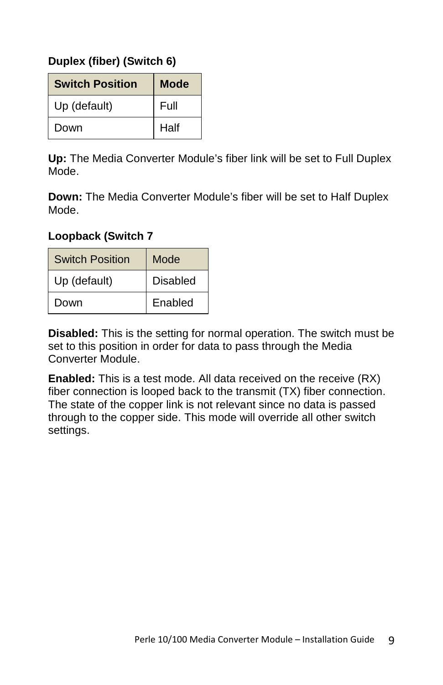### **Duplex (fiber) (Switch 6)**

| <b>Switch Position</b> | Mode |
|------------------------|------|
| Up (default)           | Full |
| Down                   | Half |

**Up:** The Media Converter Module's fiber link will be set to Full Duplex Mode.

**Down:** The Media Converter Module's fiber will be set to Half Duplex Mode.

#### **Loopback (Switch 7**

| <b>Switch Position</b> | Mode     |
|------------------------|----------|
| Up (default)           | Disabled |
| Down                   | Enabled  |

**Disabled:** This is the setting for normal operation. The switch must be set to this position in order for data to pass through the Media Converter Module.

**Enabled:** This is a test mode. All data received on the receive (RX) fiber connection is looped back to the transmit (TX) fiber connection. The state of the copper link is not relevant since no data is passed through to the copper side. This mode will override all other switch settings.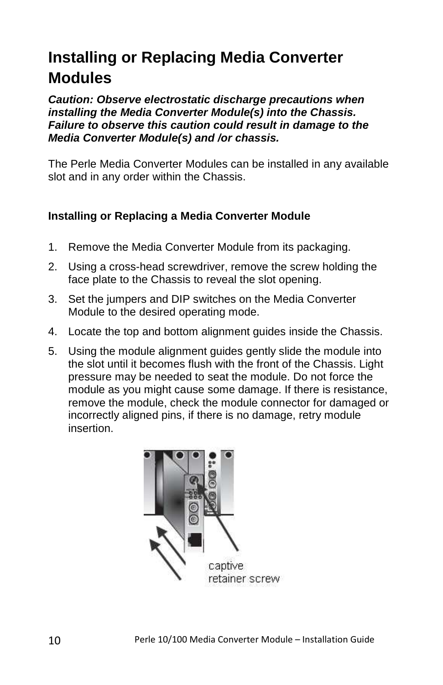### **Installing or Replacing Media Converter Modules**

**Caution: Observe electrostatic discharge precautions when installing the Media Converter Module(s) into the Chassis. Failure to observe this caution could result in damage to the Media Converter Module(s) and /or chassis.** 

The Perle Media Converter Modules can be installed in any available slot and in any order within the Chassis.

### **Installing or Replacing a Media Converter Module**

- 1. Remove the Media Converter Module from its packaging.
- 2. Using a cross-head screwdriver, remove the screw holding the face plate to the Chassis to reveal the slot opening.
- 3. Set the jumpers and DIP switches on the Media Converter Module to the desired operating mode.
- 4. Locate the top and bottom alignment guides inside the Chassis.
- 5. Using the module alignment guides gently slide the module into the slot until it becomes flush with the front of the Chassis. Light pressure may be needed to seat the module. Do not force the module as you might cause some damage. If there is resistance, remove the module, check the module connector for damaged or incorrectly aligned pins, if there is no damage, retry module insertion.

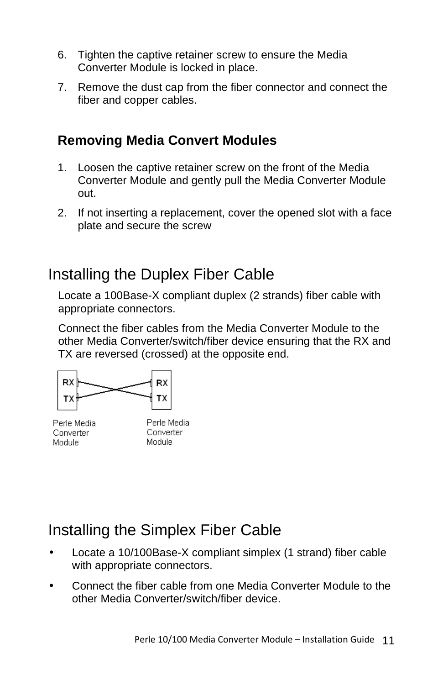- 6. Tighten the captive retainer screw to ensure the Media Converter Module is locked in place.
- 7. Remove the dust cap from the fiber connector and connect the fiber and copper cables.

### **Removing Media Convert Modules**

- 1. Loosen the captive retainer screw on the front of the Media Converter Module and gently pull the Media Converter Module out.
- 2. If not inserting a replacement, cover the opened slot with a face plate and secure the screw

### Installing the Duplex Fiber Cable

Locate a 100Base-X compliant duplex (2 strands) fiber cable with appropriate connectors.

Connect the fiber cables from the Media Converter Module to the other Media Converter/switch/fiber device ensuring that the RX and TX are reversed (crossed) at the opposite end.



Perle Media Converter Module

Perle Media Converter Module

### Installing the Simplex Fiber Cable

- Locate a 10/100Base-X compliant simplex (1 strand) fiber cable with appropriate connectors.
- Connect the fiber cable from one Media Converter Module to the other Media Converter/switch/fiber device.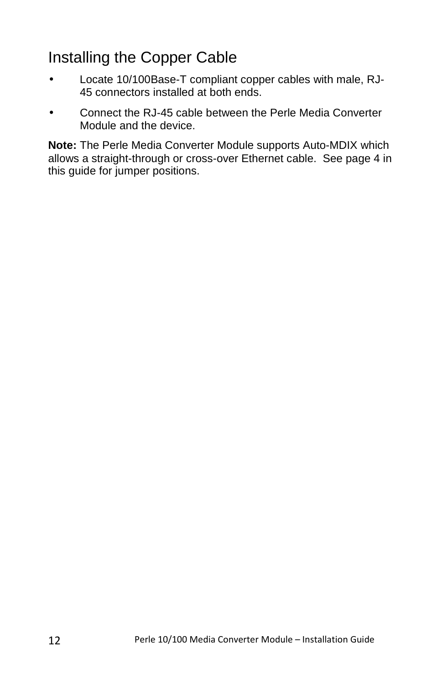### Installing the Copper Cable

- Locate 10/100Base-T compliant copper cables with male, RJ-45 connectors installed at both ends.
- Connect the RJ-45 cable between the Perle Media Converter Module and the device.

**Note:** The Perle Media Converter Module supports Auto-MDIX which allows a straight-through or cross-over Ethernet cable. See page 4 in this guide for jumper positions.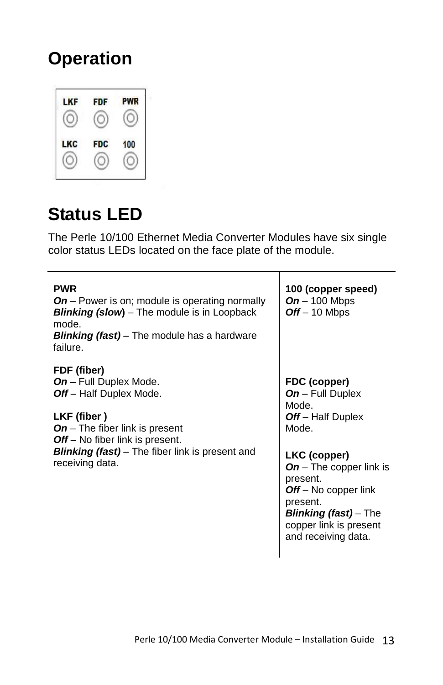## **Operation**



### **Status LED**

The Perle 10/100 Ethernet Media Converter Modules have six single color status LEDs located on the face plate of the module.

| <b>PWR</b><br>$On$ – Power is on; module is operating normally<br><b>Blinking (slow)</b> – The module is in Loopback<br>mode.<br><b>Blinking (fast)</b> – The module has a hardware<br>failure.                                                               | 100 (copper speed)<br>$On - 100$ Mbps<br>$Off - 10$ Mbps                                                                                                                                                                                                     |
|---------------------------------------------------------------------------------------------------------------------------------------------------------------------------------------------------------------------------------------------------------------|--------------------------------------------------------------------------------------------------------------------------------------------------------------------------------------------------------------------------------------------------------------|
| FDF (fiber)<br><b>On</b> – Full Duplex Mode.<br><b>Off</b> – Half Duplex Mode.<br>LKF (fiber)<br><b>On</b> – The fiber link is present<br><b>Off</b> – No fiber link is present.<br><b>Blinking (fast)</b> – The fiber link is present and<br>receiving data. | FDC (copper)<br>$On$ – Full Duplex<br>Mode.<br>Off-Half Duplex<br>Mode.<br>LKC (copper)<br><b>On</b> – The copper link is<br>present.<br>$Off - No copper link$<br>present.<br><b>Blinking (fast)</b> – The<br>copper link is present<br>and receiving data. |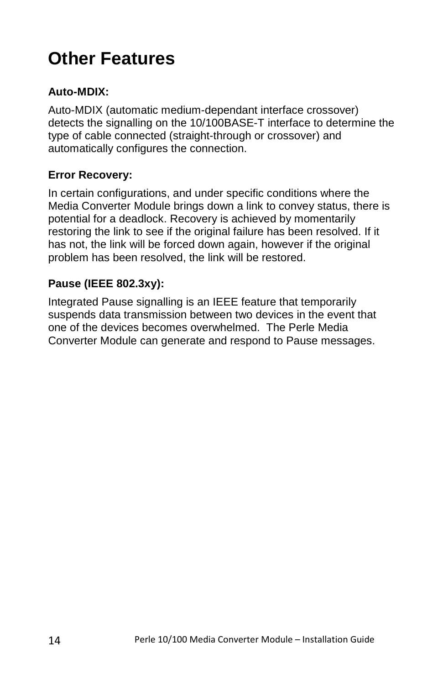## **Other Features**

### **Auto-MDIX:**

Auto-MDIX (automatic medium-dependant interface crossover) detects the signalling on the 10/100BASE-T interface to determine the type of cable connected (straight-through or crossover) and automatically configures the connection.

### **Error Recovery:**

In certain configurations, and under specific conditions where the Media Converter Module brings down a link to convey status, there is potential for a deadlock. Recovery is achieved by momentarily restoring the link to see if the original failure has been resolved. If it has not, the link will be forced down again, however if the original problem has been resolved, the link will be restored.

### **Pause (IEEE 802.3xy):**

Integrated Pause signalling is an IEEE feature that temporarily suspends data transmission between two devices in the event that one of the devices becomes overwhelmed. The Perle Media Converter Module can generate and respond to Pause messages.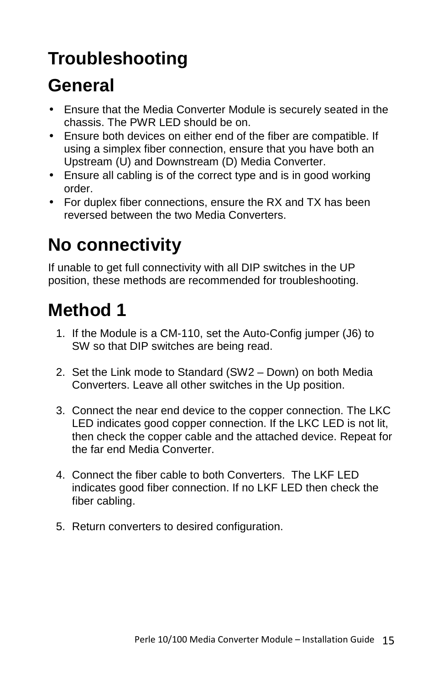## **Troubleshooting**

## **General**

- Ensure that the Media Converter Module is securely seated in the chassis. The PWR LED should be on.
- Ensure both devices on either end of the fiber are compatible. If using a simplex fiber connection, ensure that you have both an Upstream (U) and Downstream (D) Media Converter.
- Ensure all cabling is of the correct type and is in good working order.
- For duplex fiber connections, ensure the RX and TX has been reversed between the two Media Converters.

## **No connectivity**

If unable to get full connectivity with all DIP switches in the UP position, these methods are recommended for troubleshooting.

## **Method 1**

- 1. If the Module is a CM-110, set the Auto-Config jumper (J6) to SW so that DIP switches are being read.
- 2. Set the Link mode to Standard (SW2 Down) on both Media Converters. Leave all other switches in the Up position.
- 3. Connect the near end device to the copper connection. The LKC LED indicates good copper connection. If the LKC LED is not lit, then check the copper cable and the attached device. Repeat for the far end Media Converter.
- 4. Connect the fiber cable to both Converters. The LKF LED indicates good fiber connection. If no LKF LED then check the fiber cabling.
- 5. Return converters to desired configuration.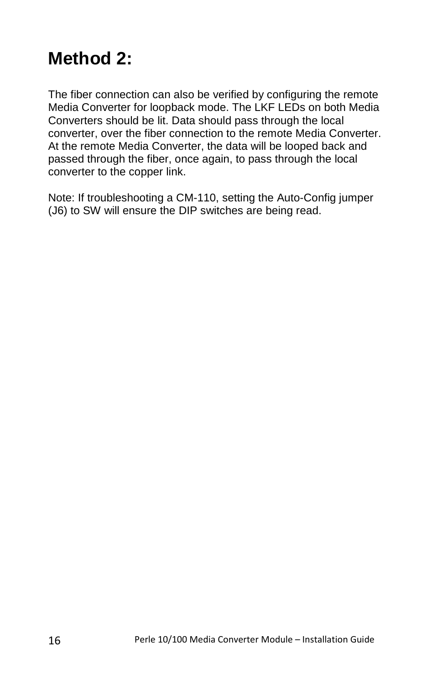## **Method 2:**

The fiber connection can also be verified by configuring the remote Media Converter for loopback mode. The LKF LEDs on both Media Converters should be lit. Data should pass through the local converter, over the fiber connection to the remote Media Converter. At the remote Media Converter, the data will be looped back and passed through the fiber, once again, to pass through the local converter to the copper link.

Note: If troubleshooting a CM-110, setting the Auto-Config jumper (J6) to SW will ensure the DIP switches are being read.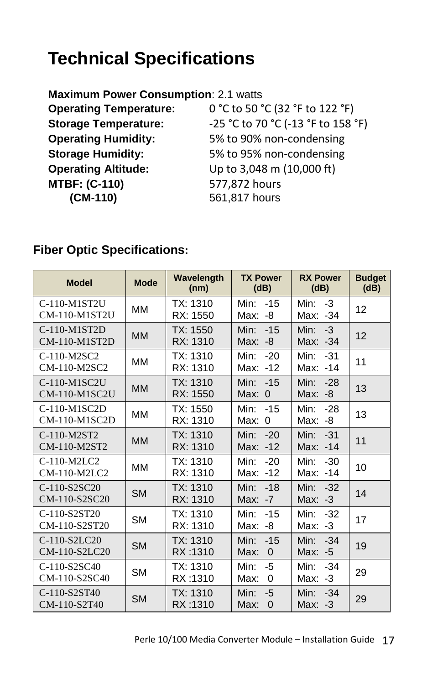## **Technical Specifications**

| <b>Maximum Power Consumption: 2.1 watts</b> |
|---------------------------------------------|
| 0 °C to 50 °C (32 °F to 122 °F)             |
| -25 °C to 70 °C (-13 °F to 158 °F)          |
| 5% to 90% non-condensing                    |
| 5% to 95% non-condensing                    |
| Up to 3,048 m (10,000 ft)                   |
| 577,872 hours                               |
| 561,817 hours                               |
|                                             |

### **Fiber Optic Specifications:**

| <b>Model</b>                  | <b>Mode</b> | Wavelength<br>(nm)   | <b>TX Power</b><br>(dB)                 | <b>RX Power</b><br>(dB)        | <b>Budget</b><br>(dB) |
|-------------------------------|-------------|----------------------|-----------------------------------------|--------------------------------|-----------------------|
| C-110-M1ST2U<br>CM-110-M1ST2U | MM          | TX: 1310<br>RX: 1550 | $-15$<br>Min:<br>Max:<br>-8             | Min: $-3$<br>Max: -34          | 12                    |
| C-110-M1ST2D<br>CM-110-M1ST2D | <b>MM</b>   | TX: 1550<br>RX: 1310 | Min:<br>$-15$<br>Max:<br>-8             | $-3$<br>Min:<br>Max: -34       | 12                    |
| C-110-M2SC2<br>CM-110-M2SC2   | MM          | TX: 1310<br>RX: 1310 | Min:<br>$-20$<br>Max: -12               | Min:<br>$-31$<br>Max: -14      | 11                    |
| C-110-M1SC2U<br>CM-110-M1SC2U | <b>MM</b>   | TX: 1310<br>RX: 1550 | Min:<br>$-15$<br>Max:<br>$\overline{0}$ | Min:<br>$-28$<br>Max:<br>-8    | 13                    |
| C-110-M1SC2D<br>CM-110-M1SC2D | MМ          | TX: 1550<br>RX: 1310 | Min:<br>$-15$<br>Max:<br>$\overline{0}$ | Min:<br>$-28$<br>Max:<br>-8    | 13                    |
| C-110-M2ST2<br>CM-110-M2ST2   | <b>MM</b>   | TX: 1310<br>RX: 1310 | Min:<br>$-20$<br>Max: -12               | Min:<br>$-31$<br>Max: -14      | 11                    |
| C-110-M2LC2<br>CM-110-M2LC2   | MМ          | TX: 1310<br>RX: 1310 | Min:<br>$-20$<br>Max: -12               | $-30$<br>Min:<br>$-14$<br>Max: | 10                    |
| C-110-S2SC20<br>CM-110-S2SC20 | <b>SM</b>   | TX: 1310<br>RX: 1310 | Min:<br>$-18$<br>Max:<br>$-7$           | $-32$<br>Min:<br>Max:<br>$-3$  | 14                    |
| C-110-S2ST20<br>CM-110-S2ST20 | <b>SM</b>   | TX: 1310<br>RX: 1310 | Min:<br>$-15$<br>Max:<br>-8             | Min:<br>$-32$<br>$-3$<br>Max:  | 17                    |
| C-110-S2LC20<br>CM-110-S2LC20 | <b>SM</b>   | TX: 1310<br>RX:1310  | Min:<br>$-15$<br>Max:<br>$\mathbf 0$    | Min:<br>$-34$<br>Max:<br>$-5$  | 19                    |
| C-110-S2SC40<br>CM-110-S2SC40 | <b>SM</b>   | TX: 1310<br>RX:1310  | Min:<br>$-5$<br>Max:<br>0               | $-34$<br>Min:<br>Max:<br>$-3$  | 29                    |
| C-110-S2ST40<br>CM-110-S2T40  | <b>SM</b>   | TX: 1310<br>RX:1310  | Min:<br>-5<br>Max:<br>$\Omega$          | $-34$<br>Min:<br>Max:<br>-3    | 29                    |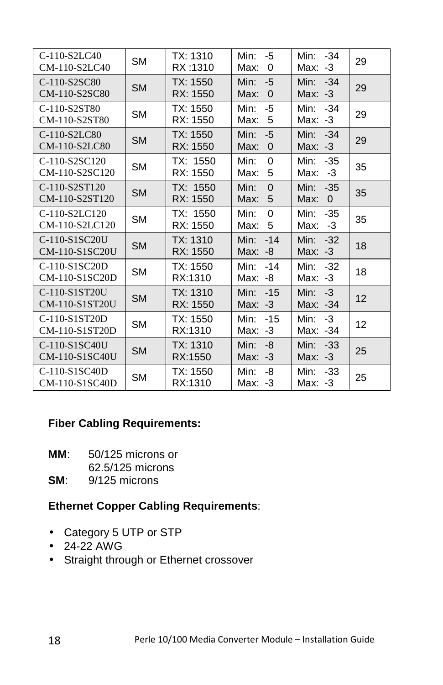| $C-110-S2LC40$<br>CM-110-S2LC40 | <b>SM</b> | TX: 1310<br>RX:1310  | Min:<br>-5<br>Max:<br>0             | $-34$<br>Min:<br>Max: -3          | 29 |
|---------------------------------|-----------|----------------------|-------------------------------------|-----------------------------------|----|
| C-110-S2SC80<br>CM-110-S2SC80   | <b>SM</b> | TX: 1550<br>RX: 1550 | $-5$<br>Min:<br>$\Omega$<br>Max:    | Min: -34<br>$-3$<br>Max:          | 29 |
| C-110-S2ST80<br>CM-110-S2ST80   | SM        | TX: 1550<br>RX: 1550 | Min:<br>-5<br>5<br>Max:             | Min: -34<br>Max:<br>-3            | 29 |
| C-110-S2LC80<br>CM-110-S2LC80   | <b>SM</b> | TX: 1550<br>RX: 1550 | Min:<br>$-5$<br>Max:<br>$\mathbf 0$ | Min:<br>$-34$<br>Max:<br>$-3$     | 29 |
| C-110-S2SC120<br>CM-110-S2SC120 | SΜ        | TX: 1550<br>RX: 1550 | Min:<br>$\Omega$<br>5<br>Max:       | Min:<br>$-35$<br>-3<br>Max:       | 35 |
| C-110-S2ST120<br>CM-110-S2ST120 | <b>SM</b> | TX: 1550<br>RX: 1550 | Min:<br>$\Omega$<br>Max:<br>5       | Min:<br>$-35$<br>Max:<br>$\Omega$ | 35 |
| C-110-S2LC120<br>CM-110-S2LC120 | <b>SM</b> | TX: 1550<br>RX: 1550 | Min:<br>$\Omega$<br>5<br>Max:       | Min:<br>$-35$<br>Max:<br>-3       | 35 |
| C-110-S1SC20U<br>CM-110-S1SC20U | SM        | TX: 1310<br>RX: 1550 | Min:<br>$-14$<br>Max:<br>-8         | Min:<br>$-32$<br>Max: $-3$        | 18 |
| C-110-S1SC20D<br>CM-110-S1SC20D | SМ        | TX: 1550<br>RX:1310  | Min:<br>$-14$<br>Max: -8            | Min: -32<br>Max:<br>$-3$          | 18 |
| C-110-S1ST20U<br>CM-110-S1ST20U | <b>SM</b> | TX: 1310<br>RX: 1550 | Min:<br>$-15$<br>Max: $-3$          | $-3$<br>Min:<br>Max: -34          | 12 |
| C-110-S1ST20D<br>CM-110-S1ST20D | <b>SM</b> | TX: 1550<br>RX:1310  | Min:<br>$-15$<br>$Max: -3$          | Min:<br>$-3$<br>Max: -34          | 12 |
| C-110-S1SC40U<br>CM-110-S1SC40U | <b>SM</b> | TX: 1310<br>RX:1550  | Min:<br>-8<br>Max: $-3$             | $-33$<br>Min:<br>Max: $-3$        | 25 |
| C-110-S1SC40D<br>CM-110-S1SC40D | SМ        | TX: 1550<br>RX:1310  | Min:<br>-8<br>Max: $-3$             | $-33$<br>Min:<br>Max: -3          | 25 |

### **Fiber Cabling Requirements:**

**MM**: 50/125 microns or

62.5/125 microns

**SM**: 9/125 microns

### **Ethernet Copper Cabling Requirements**:

- Category 5 UTP or STP
- $\bullet$  24-22 AWG
- Straight through or Ethernet crossover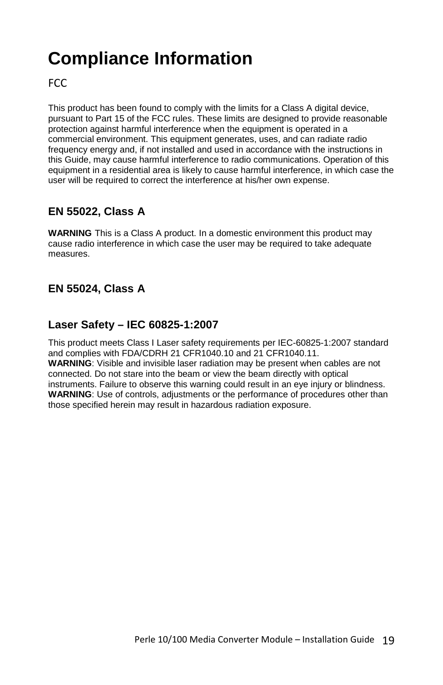## **Compliance Information**

FCC

This product has been found to comply with the limits for a Class A digital device, pursuant to Part 15 of the FCC rules. These limits are designed to provide reasonable protection against harmful interference when the equipment is operated in a commercial environment. This equipment generates, uses, and can radiate radio frequency energy and, if not installed and used in accordance with the instructions in this Guide, may cause harmful interference to radio communications. Operation of this equipment in a residential area is likely to cause harmful interference, in which case the user will be required to correct the interference at his/her own expense.

### **EN 55022, Class A**

**WARNING** This is a Class A product. In a domestic environment this product may cause radio interference in which case the user may be required to take adequate measures.

### **EN 55024, Class A**

#### **Laser Safety – IEC 60825-1:2007**

This product meets Class I Laser safety requirements per IEC-60825-1:2007 standard and complies with FDA/CDRH 21 CFR1040.10 and 21 CFR1040.11. **WARNING**: Visible and invisible laser radiation may be present when cables are not connected. Do not stare into the beam or view the beam directly with optical instruments. Failure to observe this warning could result in an eye injury or blindness. **WARNING**: Use of controls, adjustments or the performance of procedures other than those specified herein may result in hazardous radiation exposure.